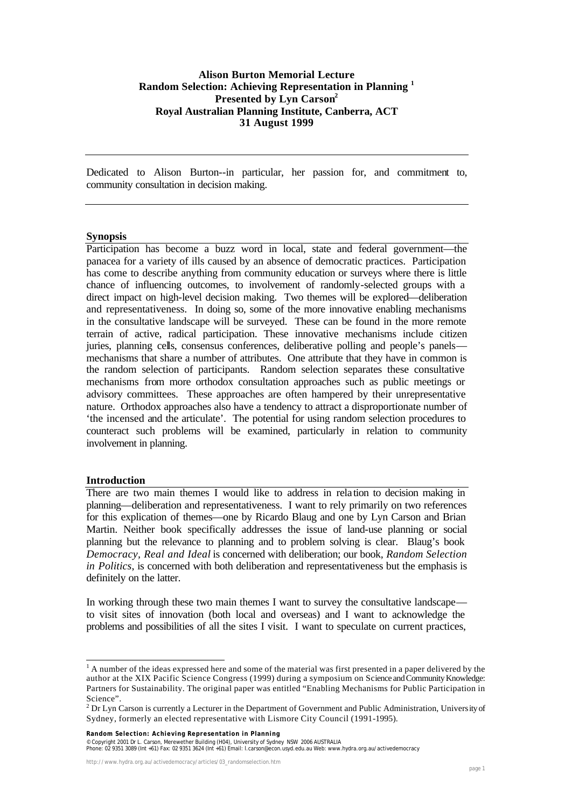# **Alison Burton Memorial Lecture Random Selection: Achieving Representation in Planning <sup>1</sup> Presented by Lyn Carson<sup>2</sup> Royal Australian Planning Institute, Canberra, ACT 31 August 1999**

Dedicated to Alison Burton--in particular, her passion for, and commitment to, community consultation in decision making.

# **Synopsis**

Participation has become a buzz word in local, state and federal government—the panacea for a variety of ills caused by an absence of democratic practices. Participation has come to describe anything from community education or surveys where there is little chance of influencing outcomes, to involvement of randomly-selected groups with a direct impact on high-level decision making. Two themes will be explored—deliberation and representativeness. In doing so, some of the more innovative enabling mechanisms in the consultative landscape will be surveyed. These can be found in the more remote terrain of active, radical participation. These innovative mechanisms include citizen juries, planning cells, consensus conferences, deliberative polling and people's panels mechanisms that share a number of attributes. One attribute that they have in common is the random selection of participants. Random selection separates these consultative mechanisms from more orthodox consultation approaches such as public meetings or advisory committees. These approaches are often hampered by their unrepresentative nature. Orthodox approaches also have a tendency to attract a disproportionate number of 'the incensed and the articulate'. The potential for using random selection procedures to counteract such problems will be examined, particularly in relation to community involvement in planning.

## **Introduction**

l

There are two main themes I would like to address in rela tion to decision making in planning—deliberation and representativeness. I want to rely primarily on two references for this explication of themes—one by Ricardo Blaug and one by Lyn Carson and Brian Martin. Neither book specifically addresses the issue of land-use planning or social planning but the relevance to planning and to problem solving is clear. Blaug's book *Democracy, Real and Ideal* is concerned with deliberation; our book*, Random Selection in Politics*, is concerned with both deliberation and representativeness but the emphasis is definitely on the latter.

In working through these two main themes I want to survey the consultative landscape to visit sites of innovation (both local and overseas) and I want to acknowledge the problems and possibilities of all the sites I visit. I want to speculate on current practices,

<sup>&</sup>lt;sup>1</sup> A number of the ideas expressed here and some of the material was first presented in a paper delivered by the author at the XIX Pacific Science Congress (1999) during a symposium on Science and Community Knowledge: Partners for Sustainability. The original paper was entitled "Enabling Mechanisms for Public Participation in Science".

 $2^2$  Dr Lyn Carson is currently a Lecturer in the Department of Government and Public Administration, University of Sydney, formerly an elected representative with Lismore City Council (1991-1995).

**Random Selection: Achieving Representation in Planning**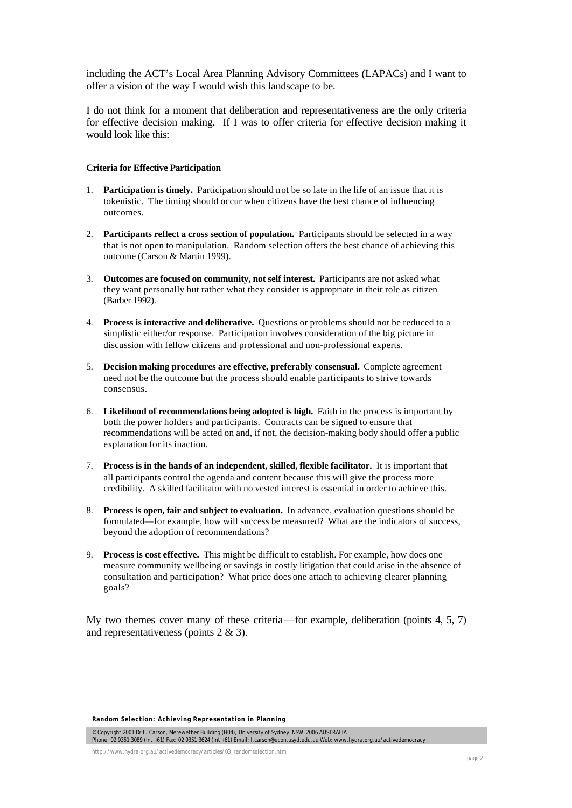including the ACT's Local Area Planning Advisory Committees (LAPACs) and I want to offer a vision of the way I would wish this landscape to be.

I do not think for a moment that deliberation and representativeness are the only criteria for effective decision making. If I was to offer criteria for effective decision making it would look like this:

### **Criteria for Effective Participation**

- 1. **Participation is timely.** Participation should not be so late in the life of an issue that it is tokenistic. The timing should occur when citizens have the best chance of influencing outcomes.
- 2. **Participants reflect a cross section of population.** Participants should be selected in a way that is not open to manipulation. Random selection offers the best chance of achieving this outcome (Carson & Martin 1999).
- 3. **Outcomes are focused on community, not self interest.** Participants are not asked what they want personally but rather what they consider is appropriate in their role as citizen (Barber 1992).
- 4. **Process is interactive and deliberative.** Questions or problems should not be reduced to a simplistic either/or response. Participation involves consideration of the big picture in discussion with fellow citizens and professional and non-professional experts.
- 5. **Decision making procedures are effective, preferably consensual.** Complete agreement need not be the outcome but the process should enable participants to strive towards consensus.
- 6. **Likelihood of recommendations being adopted is high.** Faith in the process is important by both the power holders and participants. Contracts can be signed to ensure that recommendations will be acted on and, if not, the decision-making body should offer a public explanation for its inaction.
- 7. **Process is in the hands of an independent, skilled, flexible facilitator.** It is important that all participants control the agenda and content because this will give the process more credibility. A skilled facilitator with no vested interest is essential in order to achieve this.
- 8. **Process is open, fair and subject to evaluation.** In advance, evaluation questions should be formulated—for example, how will success be measured? What are the indicators of success, beyond the adoption of recommendations?
- 9. **Process is cost effective.** This might be difficult to establish. For example, how does one measure community wellbeing or savings in costly litigation that could arise in the absence of consultation and participation? What price does one attach to achieving clearer planning goals?

My two themes cover many of these criteria—for example, deliberation (points 4, 5, 7) and representativeness (points 2 & 3).

**Random Selection: Achieving Representation in Planning**

© Copyright 2001 Dr L. Carson, Merewether Building (H04), University of Sydney NSW 2006 AUSTRALIA Phone: 02 9351 3089 (Int +61) Fax: 02 9351 3624 (Int +61) Email: l.carson@econ.usyd.edu.au Web: www.hydra.org.au/activedemocracy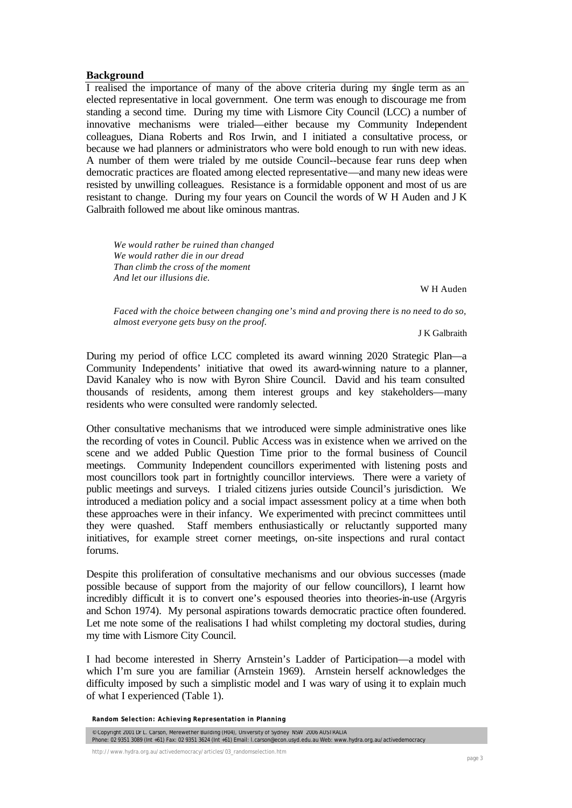# **Background**

I realised the importance of many of the above criteria during my single term as an elected representative in local government. One term was enough to discourage me from standing a second time. During my time with Lismore City Council (LCC) a number of innovative mechanisms were trialed—either because my Community Independent colleagues, Diana Roberts and Ros Irwin, and I initiated a consultative process, or because we had planners or administrators who were bold enough to run with new ideas. A number of them were trialed by me outside Council--because fear runs deep when democratic practices are floated among elected representative—and many new ideas were resisted by unwilling colleagues. Resistance is a formidable opponent and most of us are resistant to change. During my four years on Council the words of W H Auden and J K Galbraith followed me about like ominous mantras.

*We would rather be ruined than changed We would rather die in our dread Than climb the cross of the moment And let our illusions die.*

W H Auden

*Faced with the choice between changing one's mind and proving there is no need to do so, almost everyone gets busy on the proof.*

J K Galbraith

During my period of office LCC completed its award winning 2020 Strategic Plan—a Community Independents' initiative that owed its award-winning nature to a planner, David Kanaley who is now with Byron Shire Council. David and his team consulted thousands of residents, among them interest groups and key stakeholders—many residents who were consulted were randomly selected.

Other consultative mechanisms that we introduced were simple administrative ones like the recording of votes in Council. Public Access was in existence when we arrived on the scene and we added Public Question Time prior to the formal business of Council meetings. Community Independent councillors experimented with listening posts and most councillors took part in fortnightly councillor interviews. There were a variety of public meetings and surveys. I trialed citizens juries outside Council's jurisdiction. We introduced a mediation policy and a social impact assessment policy at a time when both these approaches were in their infancy. We experimented with precinct committees until they were quashed. Staff members enthusiastically or reluctantly supported many initiatives, for example street corner meetings, on-site inspections and rural contact forums.

Despite this proliferation of consultative mechanisms and our obvious successes (made possible because of support from the majority of our fellow councillors), I learnt how incredibly difficult it is to convert one's espoused theories into theories-in-use (Argyris and Schon 1974). My personal aspirations towards democratic practice often foundered. Let me note some of the realisations I had whilst completing my doctoral studies, during my time with Lismore City Council.

I had become interested in Sherry Arnstein's Ladder of Participation—a model with which I'm sure you are familiar (Arnstein 1969). Arnstein herself acknowledges the difficulty imposed by such a simplistic model and I was wary of using it to explain much of what I experienced (Table 1).

**Random Selection: Achieving Representation in Planning**

© Copyright 2001 Dr L. Carson, Merewether Building (H04), University of Sydney NSW 2006 AUSTRALIA Phone: 02 9351 3089 (Int +61) Fax: 02 9351 3624 (Int +61) Email: l.carson@econ.usyd.edu.au Web: www.hydra.org.au/activedemocracy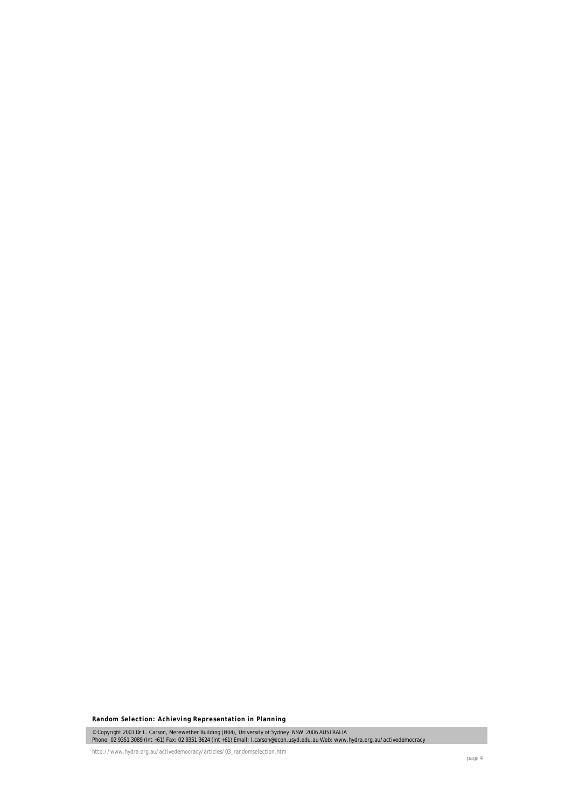**Random Selection: Achieving Representation in Planning**

© Copyright 2001 Dr L. Carson, Merewether Building (H04), University of Sydney NSW 2006 AUSTRALIA<br>Phone: 02 9351 3089 (Int +61) Fax: 02 9351 3624 (Int +61) Email: I.carson@econ.usyd.edu.au Web: www.hydra.org.au/activedem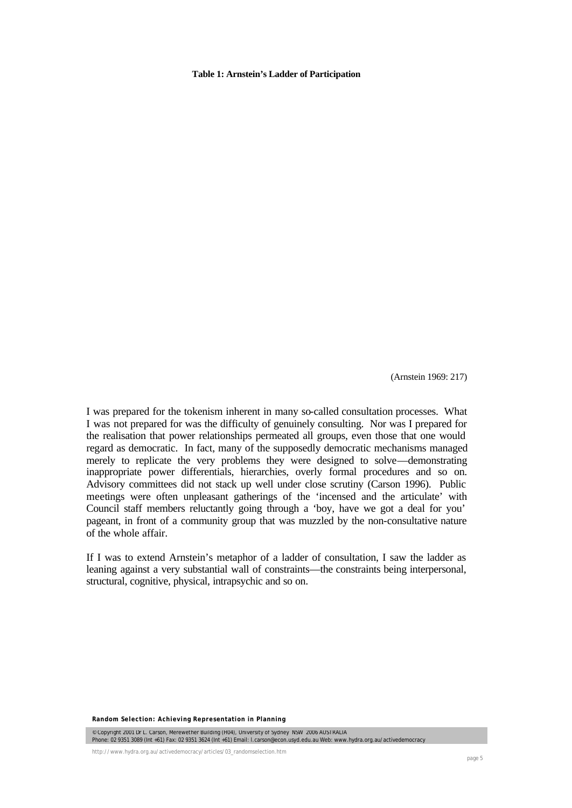#### **Table 1: Arnstein's Ladder of Participation**

(Arnstein 1969: 217)

I was prepared for the tokenism inherent in many so-called consultation processes. What I was not prepared for was the difficulty of genuinely consulting. Nor was I prepared for the realisation that power relationships permeated all groups, even those that one would regard as democratic. In fact, many of the supposedly democratic mechanisms managed merely to replicate the very problems they were designed to solve—demonstrating inappropriate power differentials, hierarchies, overly formal procedures and so on. Advisory committees did not stack up well under close scrutiny (Carson 1996). Public meetings were often unpleasant gatherings of the 'incensed and the articulate' with Council staff members reluctantly going through a 'boy, have we got a deal for you' pageant, in front of a community group that was muzzled by the non-consultative nature of the whole affair.

If I was to extend Arnstein's metaphor of a ladder of consultation, I saw the ladder as leaning against a very substantial wall of constraints—the constraints being interpersonal, structural, cognitive, physical, intrapsychic and so on.

**Random Selection: Achieving Representation in Planning**

© Copyright 2001 Dr L. Carson, Merewether Building (H04), University of Sydney NSW 2006 AUSTRALIA Phone: 02 9351 3089 (Int +61) Fax: 02 9351 3624 (Int +61) Email: l.carson@econ.usyd.edu.au Web: www.hydra.org.au/activedemocracy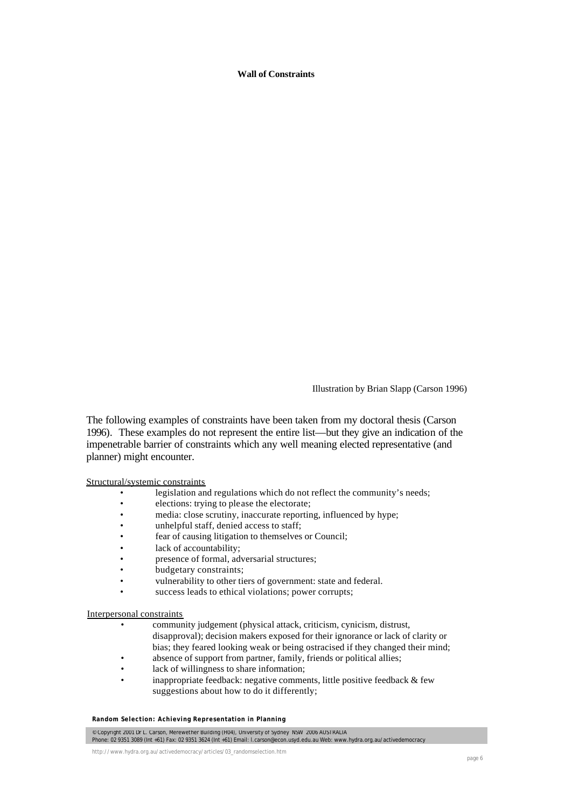**Wall of Constraints**

Illustration by Brian Slapp (Carson 1996)

The following examples of constraints have been taken from my doctoral thesis (Carson 1996)*.* These examples do not represent the entire list—but they give an indication of the impenetrable barrier of constraints which any well meaning elected representative (and planner) might encounter.

### Structural/systemic constraints

- legislation and regulations which do not reflect the community's needs;
- elections: trying to please the electorate;
- media: close scrutiny, inaccurate reporting, influenced by hype;
- unhelpful staff, denied access to staff;
- fear of causing litigation to themselves or Council;
- lack of accountability;
- presence of formal, adversarial structures;
- budgetary constraints;
- vulnerability to other tiers of government: state and federal.
- success leads to ethical violations; power corrupts;

### Interpersonal constraints

- community judgement (physical attack, criticism, cynicism, distrust, disapproval); decision makers exposed for their ignorance or lack of clarity or bias; they feared looking weak or being ostracised if they changed their mind;
- absence of support from partner, family, friends or political allies;
- lack of willingness to share information;
- inappropriate feedback: negative comments, little positive feedback  $&$  few suggestions about how to do it differently;

#### **Random Selection: Achieving Representation in Planning**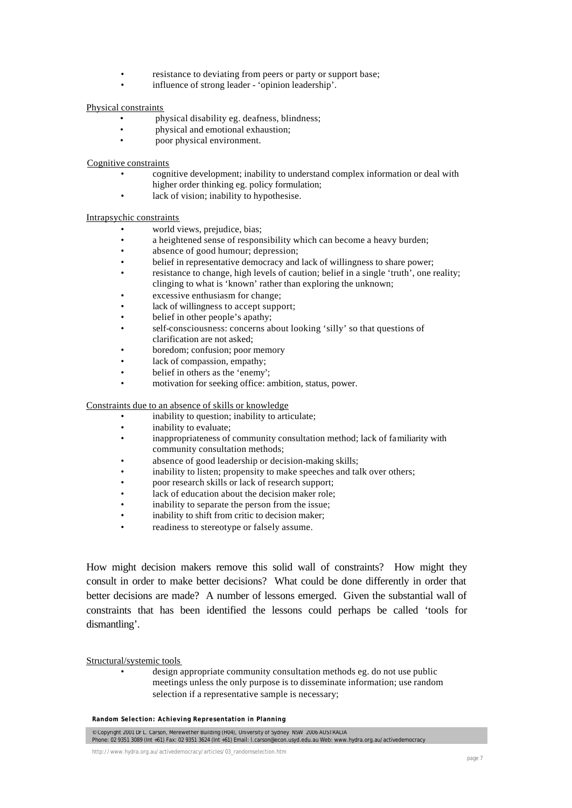- resistance to deviating from peers or party or support base;
- influence of strong leader 'opinion leadership'.

### Physical constraints

- physical disability eg. deafness, blindness;
- physical and emotional exhaustion;
- poor physical environment.

## Cognitive constraints

- cognitive development; inability to understand complex information or deal with higher order thinking eg. policy formulation;
- lack of vision; inability to hypothesise.

#### Intrapsychic constraints

- world views, prejudice, bias;
- a heightened sense of responsibility which can become a heavy burden;
- absence of good humour; depression;
- belief in representative democracy and lack of willingness to share power;
- resistance to change, high levels of caution; belief in a single 'truth', one reality; clinging to what is 'known' rather than exploring the unknown;
- excessive enthusiasm for change;
- lack of willingness to accept support;
- belief in other people's apathy;
- self-consciousness: concerns about looking 'silly' so that questions of clarification are not asked;
- boredom; confusion; poor memory
- lack of compassion, empathy;
- belief in others as the 'enemy';
- motivation for seeking office: ambition, status, power.

### Constraints due to an absence of skills or knowledge

- inability to question; inability to articulate;
- inability to evaluate:
- inappropriateness of community consultation method; lack of familiarity with community consultation methods;
- absence of good leadership or decision-making skills;
- inability to listen; propensity to make speeches and talk over others;
- poor research skills or lack of research support;
- lack of education about the decision maker role;
- inability to separate the person from the issue;
- inability to shift from critic to decision maker;
- readiness to stereotype or falsely assume.

How might decision makers remove this solid wall of constraints? How might they consult in order to make better decisions? What could be done differently in order that better decisions are made? A number of lessons emerged. Given the substantial wall of constraints that has been identified the lessons could perhaps be called 'tools for dismantling'.

#### Structural/systemic tools

design appropriate community consultation methods eg. do not use public meetings unless the only purpose is to disseminate information; use random selection if a representative sample is necessary;

**Random Selection: Achieving Representation in Planning**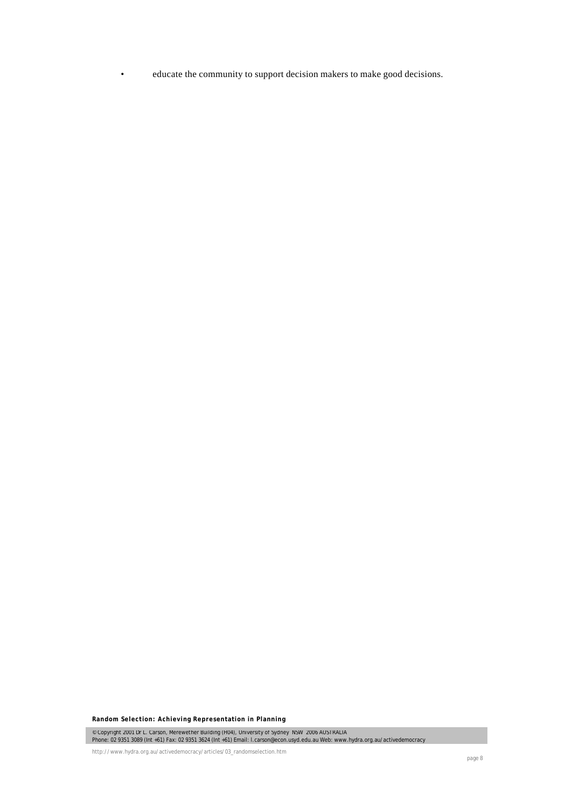• educate the community to support decision makers to make good decisions.

**Random Selection: Achieving Representation in Planning**

© Copyright 2001 Dr L. Carson, Merewether Building (H04), University of Sydney NSW 2006 AUSTRALIA<br>Phone: 02 9351 3089 (Int +61) Fax: 02 9351 3624 (Int +61) Email: I.carson@econ.usyd.edu.au Web: www.hydra.org.au/activedem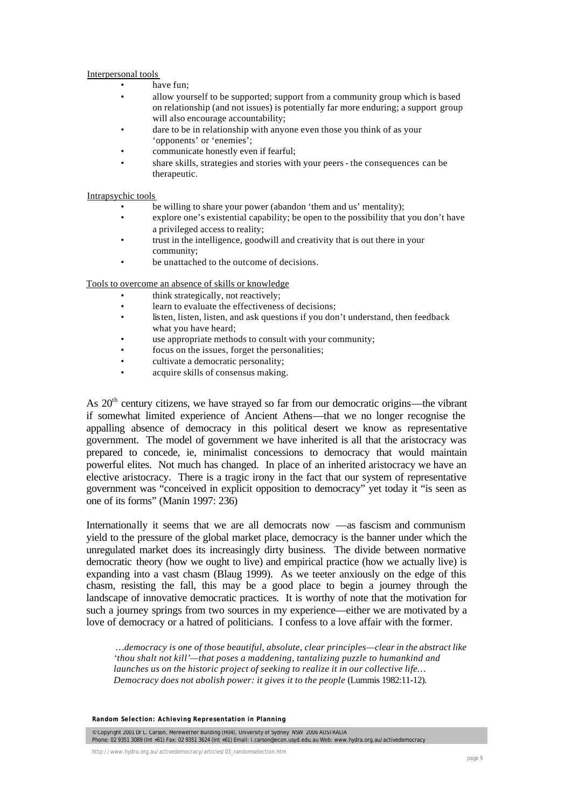#### Interpersonal tools

- have fun;
- allow yourself to be supported; support from a community group which is based on relationship (and not issues) is potentially far more enduring; a support group will also encourage accountability;
- dare to be in relationship with anyone even those you think of as your 'opponents' or 'enemies';
- communicate honestly even if fearful;
- share skills, strategies and stories with your peers the consequences can be therapeutic.

#### Intrapsychic tools

- be willing to share your power (abandon 'them and us' mentality);
- explore one's existential capability; be open to the possibility that you don't have a privileged access to reality;
- trust in the intelligence, goodwill and creativity that is out there in your community;
- be unattached to the outcome of decisions.

## Tools to overcome an absence of skills or knowledge

- think strategically, not reactively;
- learn to evaluate the effectiveness of decisions;
- listen, listen, listen, and ask questions if you don't understand, then feedback what you have heard;
- use appropriate methods to consult with your community;
- focus on the issues, forget the personalities;
- cultivate a democratic personality;
- acquire skills of consensus making.

As  $20<sup>th</sup>$  century citizens, we have strayed so far from our democratic origins—the vibrant if somewhat limited experience of Ancient Athens—that we no longer recognise the appalling absence of democracy in this political desert we know as representative government. The model of government we have inherited is all that the aristocracy was prepared to concede, ie, minimalist concessions to democracy that would maintain powerful elites. Not much has changed. In place of an inherited aristocracy we have an elective aristocracy. There is a tragic irony in the fact that our system of representative government was "conceived in explicit opposition to democracy" yet today it "is seen as one of its forms" (Manin 1997: 236)

Internationally it seems that we are all democrats now —as fascism and communism yield to the pressure of the global market place, democracy is the banner under which the unregulated market does its increasingly dirty business. The divide between normative democratic theory (how we ought to live) and empirical practice (how we actually live) is expanding into a vast chasm (Blaug 1999). As we teeter anxiously on the edge of this chasm, resisting the fall, this may be a good place to begin a journey through the landscape of innovative democratic practices. It is worthy of note that the motivation for such a journey springs from two sources in my experience—either we are motivated by a love of democracy or a hatred of politicians. I confess to a love affair with the former.

 *…democracy is one of those beautiful, absolute, clear principles—clear in the abstract like 'thou shalt not kill'—that poses a maddening, tantalizing puzzle to humankind and launches us on the historic project of seeking to realize it in our collective life… Democracy does not abolish power: it gives it to the people* (Lummis 1982:11-12).

**Random Selection: Achieving Representation in Planning**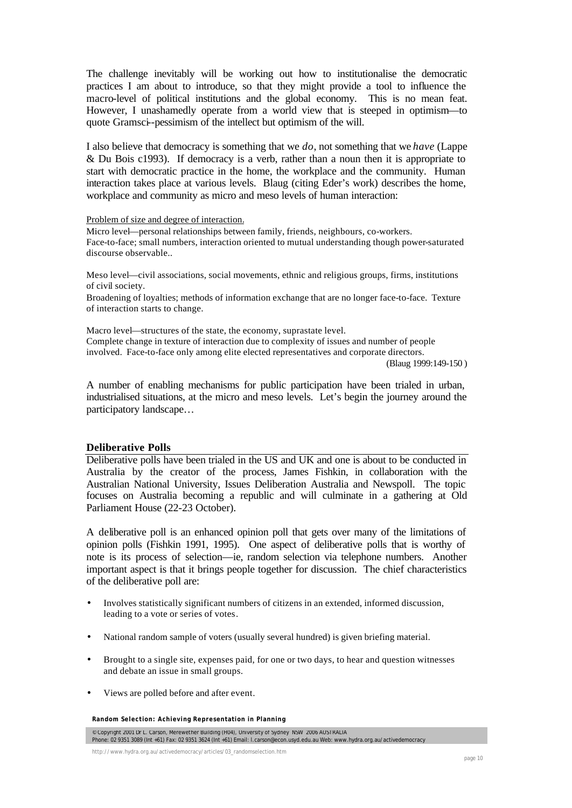The challenge inevitably will be working out how to institutionalise the democratic practices I am about to introduce, so that they might provide a tool to influence the macro-level of political institutions and the global economy. This is no mean feat. However, I unashamedly operate from a world view that is steeped in optimism—to quote Gramsci--pessimism of the intellect but optimism of the will.

I also believe that democracy is something that we *do*, not something that we *have* (Lappe & Du Bois c1993). If democracy is a verb, rather than a noun then it is appropriate to start with democratic practice in the home, the workplace and the community. Human interaction takes place at various levels. Blaug (citing Eder's work) describes the home, workplace and community as micro and meso levels of human interaction:

Problem of size and degree of interaction.

Micro level—personal relationships between family, friends, neighbours, co-workers. Face-to-face; small numbers, interaction oriented to mutual understanding though power-saturated discourse observable..

Meso level—civil associations, social movements, ethnic and religious groups, firms, institutions of civil society.

Broadening of loyalties; methods of information exchange that are no longer face-to-face. Texture of interaction starts to change.

Macro level—structures of the state, the economy, suprastate level. Complete change in texture of interaction due to complexity of issues and number of people involved. Face-to-face only among elite elected representatives and corporate directors. (Blaug 1999:149-150 )

A number of enabling mechanisms for public participation have been trialed in urban, industrialised situations, at the micro and meso levels. Let's begin the journey around the participatory landscape…

# **Deliberative Polls**

Deliberative polls have been trialed in the US and UK and one is about to be conducted in Australia by the creator of the process, James Fishkin, in collaboration with the Australian National University, Issues Deliberation Australia and Newspoll. The topic focuses on Australia becoming a republic and will culminate in a gathering at Old Parliament House (22-23 October).

A deliberative poll is an enhanced opinion poll that gets over many of the limitations of opinion polls (Fishkin 1991, 1995). One aspect of deliberative polls that is worthy of note is its process of selection—ie, random selection via telephone numbers. Another important aspect is that it brings people together for discussion. The chief characteristics of the deliberative poll are:

- Involves statistically significant numbers of citizens in an extended, informed discussion, leading to a vote or series of votes.
- National random sample of voters (usually several hundred) is given briefing material.
- Brought to a single site, expenses paid, for one or two days, to hear and question witnesses and debate an issue in small groups.
- Views are polled before and after event.

**Random Selection: Achieving Representation in Planning**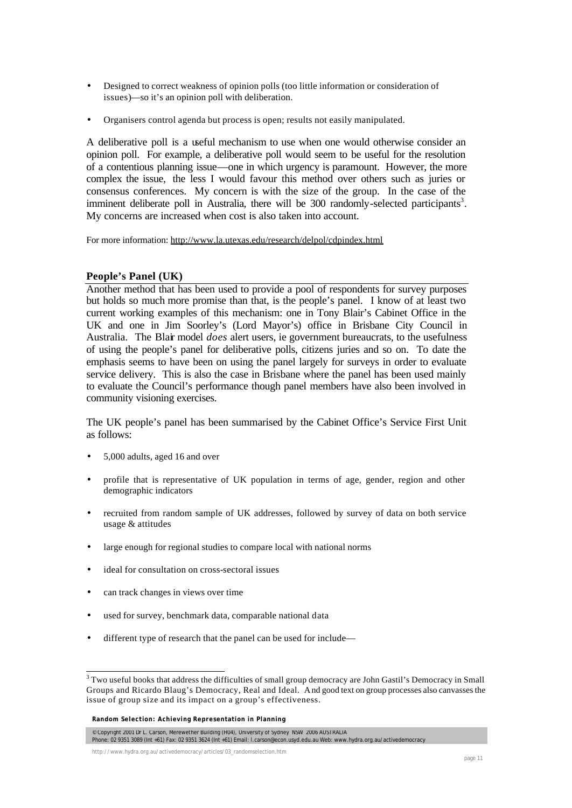- Designed to correct weakness of opinion polls (too little information or consideration of issues)—so it's an opinion poll with deliberation.
- Organisers control agenda but process is open; results not easily manipulated.

A deliberative poll is a useful mechanism to use when one would otherwise consider an opinion poll. For example, a deliberative poll would seem to be useful for the resolution of a contentious planning issue—one in which urgency is paramount. However, the more complex the issue, the less I would favour this method over others such as juries or consensus conferences. My concern is with the size of the group. In the case of the imminent deliberate poll in Australia, there will be  $300$  randomly-selected participants<sup>3</sup>. My concerns are increased when cost is also taken into account.

For more information: http://www.la.utexas.edu/research/delpol/cdpindex.html

# **People's Panel (UK)**

Another method that has been used to provide a pool of respondents for survey purposes but holds so much more promise than that, is the people's panel.I know of at least two current working examples of this mechanism: one in Tony Blair's Cabinet Office in the UK and one in Jim Soorley's (Lord Mayor's) office in Brisbane City Council in Australia. The Blair model *does* alert users, ie government bureaucrats, to the usefulness of using the people's panel for deliberative polls, citizens juries and so on. To date the emphasis seems to have been on using the panel largely for surveys in order to evaluate service delivery. This is also the case in Brisbane where the panel has been used mainly to evaluate the Council's performance though panel members have also been involved in community visioning exercises.

The UK people's panel has been summarised by the Cabinet Office's Service First Unit as follows:

- 5,000 adults, aged 16 and over
- profile that is representative of UK population in terms of age, gender, region and other demographic indicators
- recruited from random sample of UK addresses, followed by survey of data on both service usage & attitudes
- large enough for regional studies to compare local with national norms
- ideal for consultation on cross-sectoral issues
- can track changes in views over time
- used for survey, benchmark data, comparable national data
- different type of research that the panel can be used for include—

<sup>&</sup>lt;sup>3</sup> Two useful books that address the difficulties of small group democracy are John Gastil's Democracy in Small Groups and Ricardo Blaug's Democracy, Real and Ideal. And good text on group processes also canvasses the issue of group size and its impact on a group's effectiveness.

**Random Selection: Achieving Representation in Planning**

<sup>©</sup> Copyright 2001 Dr L. Carson, Merewether Building (H04), University of Sydney NSW 2006 AUSTRALIA Phone: 02 9351 3089 (Int +61) Fax: 02 9351 3624 (Int +61) Email: l.carson@econ.usyd.edu.au Web: www.hydra.org.au/activedemocracy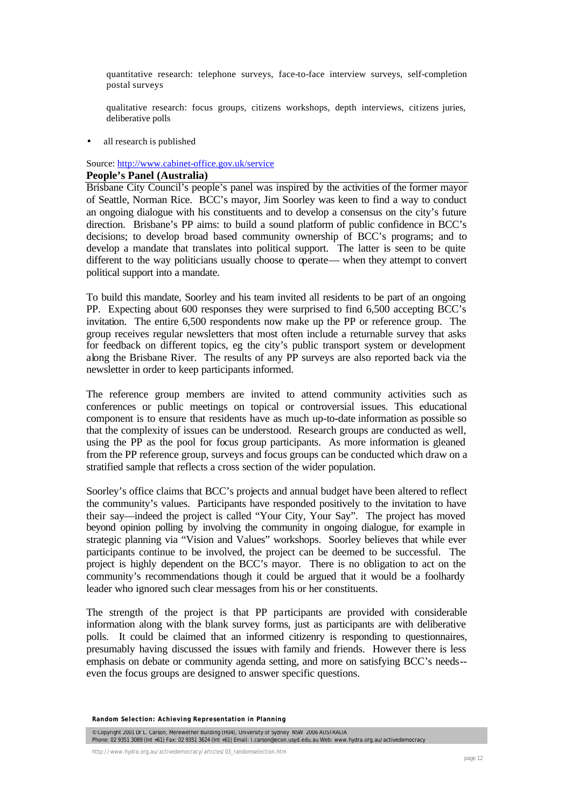quantitative research: telephone surveys, face-to-face interview surveys, self-completion postal surveys

qualitative research: focus groups, citizens workshops, depth interviews, citizens juries, deliberative polls

• all research is published

Source: http://www.cabinet-office.gov.uk/service

## **People's Panel (Australia)**

Brisbane City Council's people's panel was inspired by the activities of the former mayor of Seattle, Norman Rice. BCC's mayor, Jim Soorley was keen to find a way to conduct an ongoing dialogue with his constituents and to develop a consensus on the city's future direction. Brisbane's PP aims: to build a sound platform of public confidence in BCC's decisions; to develop broad based community ownership of BCC's programs; and to develop a mandate that translates into political support. The latter is seen to be quite different to the way politicians usually choose to operate— when they attempt to convert political support into a mandate.

To build this mandate, Soorley and his team invited all residents to be part of an ongoing PP. Expecting about 600 responses they were surprised to find 6,500 accepting BCC's invitation. The entire 6,500 respondents now make up the PP or reference group. The group receives regular newsletters that most often include a returnable survey that asks for feedback on different topics, eg the city's public transport system or development along the Brisbane River. The results of any PP surveys are also reported back via the newsletter in order to keep participants informed.

The reference group members are invited to attend community activities such as conferences or public meetings on topical or controversial issues. This educational component is to ensure that residents have as much up-to-date information as possible so that the complexity of issues can be understood. Research groups are conducted as well, using the PP as the pool for focus group participants. As more information is gleaned from the PP reference group, surveys and focus groups can be conducted which draw on a stratified sample that reflects a cross section of the wider population.

Soorley's office claims that BCC's projects and annual budget have been altered to reflect the community's values. Participants have responded positively to the invitation to have their say—indeed the project is called "Your City, Your Say". The project has moved beyond opinion polling by involving the community in ongoing dialogue, for example in strategic planning via "Vision and Values" workshops. Soorley believes that while ever participants continue to be involved, the project can be deemed to be successful. The project is highly dependent on the BCC's mayor. There is no obligation to act on the community's recommendations though it could be argued that it would be a foolhardy leader who ignored such clear messages from his or her constituents.

The strength of the project is that PP participants are provided with considerable information along with the blank survey forms, just as participants are with deliberative polls. It could be claimed that an informed citizenry is responding to questionnaires, presumably having discussed the issues with family and friends. However there is less emphasis on debate or community agenda setting, and more on satisfying BCC's needs- even the focus groups are designed to answer specific questions.

**Random Selection: Achieving Representation in Planning**

© Copyright 2001 Dr L. Carson, Merewether Building (H04), University of Sydney NSW 2006 AUSTRALIA Phone: 02 9351 3089 (Int +61) Fax: 02 9351 3624 (Int +61) Email: l.carson@econ.usyd.edu.au Web: www.hydra.org.au/activedemocracy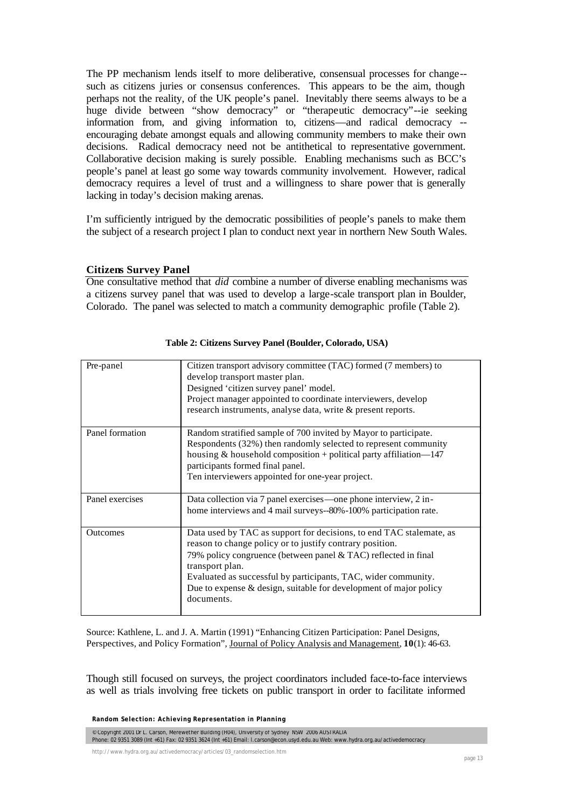The PP mechanism lends itself to more deliberative, consensual processes for change- such as citizens juries or consensus conferences. This appears to be the aim, though perhaps not the reality, of the UK people's panel. Inevitably there seems always to be a huge divide between "show democracy" or "therapeutic democracy"--ie seeking information from, and giving information to, citizens—and radical democracy - encouraging debate amongst equals and allowing community members to make their own decisions. Radical democracy need not be antithetical to representative government. Collaborative decision making is surely possible. Enabling mechanisms such as BCC's people's panel at least go some way towards community involvement. However, radical democracy requires a level of trust and a willingness to share power that is generally lacking in today's decision making arenas.

I'm sufficiently intrigued by the democratic possibilities of people's panels to make them the subject of a research project I plan to conduct next year in northern New South Wales.

### **Citizens Survey Panel**

One consultative method that *did* combine a number of diverse enabling mechanisms was a citizens survey panel that was used to develop a large-scale transport plan in Boulder, Colorado. The panel was selected to match a community demographic profile (Table 2).

| Pre-panel       | Citizen transport advisory committee (TAC) formed (7 members) to<br>develop transport master plan.<br>Designed 'citizen survey panel' model.<br>Project manager appointed to coordinate interviewers, develop<br>research instruments, analyse data, write & present reports.                                                                                                |
|-----------------|------------------------------------------------------------------------------------------------------------------------------------------------------------------------------------------------------------------------------------------------------------------------------------------------------------------------------------------------------------------------------|
| Panel formation | Random stratified sample of 700 invited by Mayor to participate.<br>Respondents (32%) then randomly selected to represent community<br>housing & household composition + political party affiliation—147<br>participants formed final panel.<br>Ten interviewers appointed for one-year project.                                                                             |
| Panel exercises | Data collection via 7 panel exercises—one phone interview, 2 in-<br>home interviews and 4 mail surveys--80%-100% participation rate.                                                                                                                                                                                                                                         |
| <b>Outcomes</b> | Data used by TAC as support for decisions, to end TAC stalemate, as<br>reason to change policy or to justify contrary position.<br>79% policy congruence (between panel & TAC) reflected in final<br>transport plan.<br>Evaluated as successful by participants, TAC, wider community.<br>Due to expense $\&$ design, suitable for development of major policy<br>documents. |

### **Table 2: Citizens Survey Panel (Boulder, Colorado, USA)**

Source: Kathlene, L. and J. A. Martin (1991) "Enhancing Citizen Participation: Panel Designs, Perspectives, and Policy Formation", Journal of Policy Analysis and Management, **10**(1): 46-63.

Though still focused on surveys, the project coordinators included face-to-face interviews as well as trials involving free tickets on public transport in order to facilitate informed

**Random Selection: Achieving Representation in Planning**

© Copyright 2001 Dr L. Carson, Merewether Building (H04), University of Sydney NSW 2006 AUSTRALIA

Phone: 02 9351 3089 (Int +61) Fax: 02 9351 3624 (Int +61) Email: l.carson@econ.usyd.edu.au Web: www.hydra.org.au/activedemocracy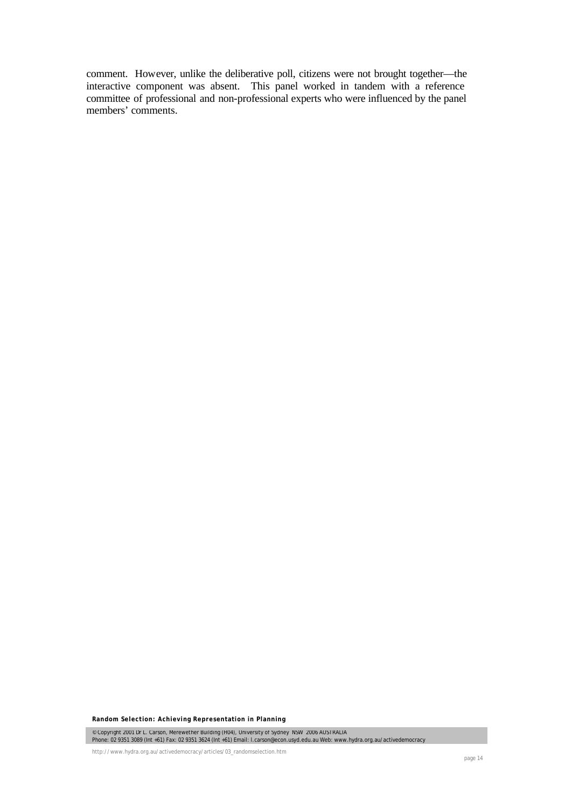comment. However, unlike the deliberative poll, citizens were not brought together—the interactive component was absent. This panel worked in tandem with a reference committee of professional and non-professional experts who were influenced by the panel members' comments.

**Random Selection: Achieving Representation in Planning**

© Copyright 2001 Dr L. Carson, Merewether Building (H04), University of Sydney NSW 2006 AUSTRALIA<br>Phone: 02 9351 3089 (Int +61) Fax: 02 9351 3624 (Int +61) Email: I.carson@econ.usyd.edu.au Web: www.hydra.org.au/activedem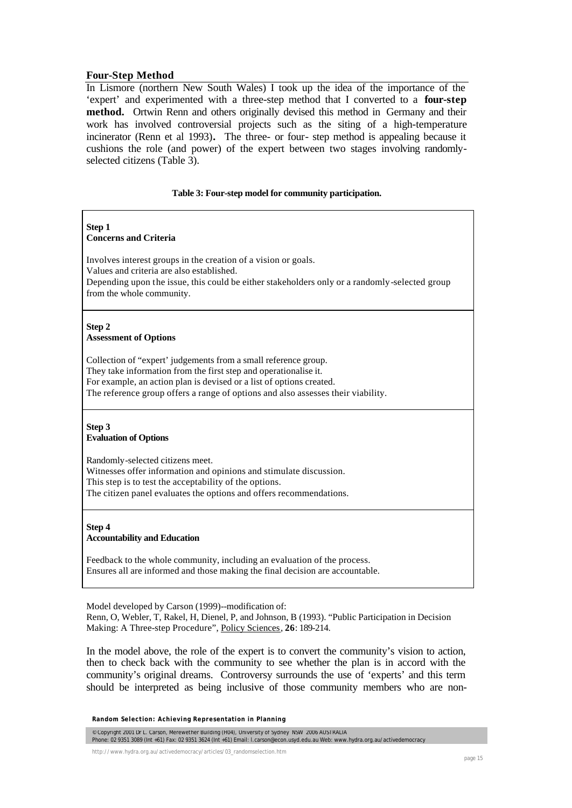# **Four-Step Method**

In Lismore (northern New South Wales) I took up the idea of the importance of the 'expert' and experimented with a three-step method that I converted to a **four-step method.** Ortwin Renn and others originally devised this method in Germany and their work has involved controversial projects such as the siting of a high-temperature incinerator (Renn et al 1993)**.** The three- or four- step method is appealing because it cushions the role (and power) of the expert between two stages involving randomlyselected citizens (Table 3).

## **Table 3: Four-step model for community participation.**

#### **Step 1 Concerns and Criteria**

Involves interest groups in the creation of a vision or goals. Values and criteria are also established. Depending upon the issue, this could be either stakeholders only or a randomly-selected group from the whole community.

# **Step 2**

## **Assessment of Options**

Collection of "expert' judgements from a small reference group. They take information from the first step and operationalise it. For example, an action plan is devised or a list of options created. The reference group offers a range of options and also assesses their viability.

#### **Step 3 Evaluation of Options**

Randomly-selected citizens meet. Witnesses offer information and opinions and stimulate discussion. This step is to test the acceptability of the options. The citizen panel evaluates the options and offers recommendations.

#### **Step 4 Accountability and Education**

Feedback to the whole community, including an evaluation of the process. Ensures all are informed and those making the final decision are accountable.

Model developed by Carson (1999)--modification of: Renn, O, Webler, T, Rakel, H, Dienel, P, and Johnson, B (1993). "Public Participation in Decision Making: A Three-step Procedure", Policy Sciences, **26**: 189-214.

In the model above, the role of the expert is to convert the community's vision to action, then to check back with the community to see whether the plan is in accord with the community's original dreams. Controversy surrounds the use of 'experts' and this term should be interpreted as being inclusive of those community members who are non-

**Random Selection: Achieving Representation in Planning**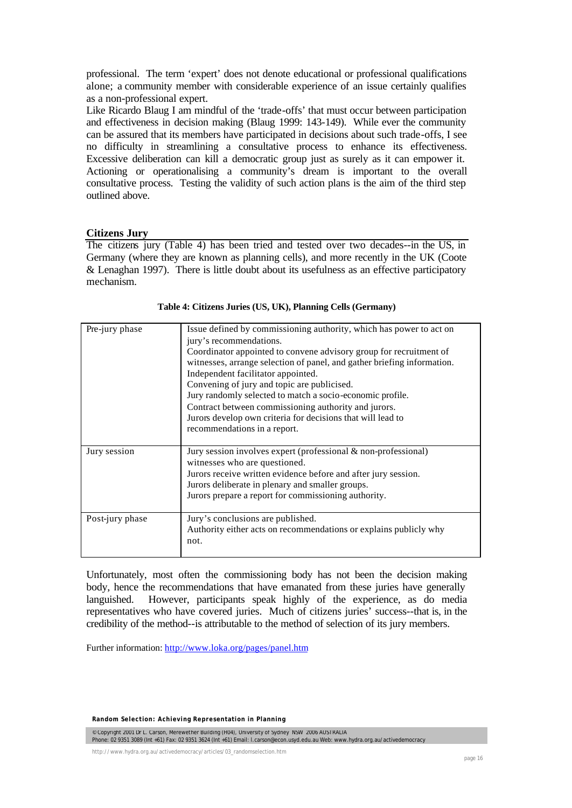professional. The term 'expert' does not denote educational or professional qualifications alone; a community member with considerable experience of an issue certainly qualifies as a non-professional expert.

Like Ricardo Blaug I am mindful of the 'trade-offs' that must occur between participation and effectiveness in decision making (Blaug 1999: 143-149). While ever the community can be assured that its members have participated in decisions about such trade-offs, I see no difficulty in streamlining a consultative process to enhance its effectiveness. Excessive deliberation can kill a democratic group just as surely as it can empower it. Actioning or operationalising a community's dream is important to the overall consultative process. Testing the validity of such action plans is the aim of the third step outlined above.

## **Citizens Jury**

The citizens jury (Table 4) has been tried and tested over two decades--in the US, in Germany (where they are known as planning cells), and more recently in the UK (Coote & Lenaghan 1997). There is little doubt about its usefulness as an effective participatory mechanism.

| Pre-jury phase  | Issue defined by commissioning authority, which has power to act on<br>jury's recommendations.<br>Coordinator appointed to convene advisory group for recruitment of<br>witnesses, arrange selection of panel, and gather briefing information.<br>Independent facilitator appointed.<br>Convening of jury and topic are publicised.<br>Jury randomly selected to match a socio-economic profile.<br>Contract between commissioning authority and jurors.<br>Jurors develop own criteria for decisions that will lead to<br>recommendations in a report. |
|-----------------|----------------------------------------------------------------------------------------------------------------------------------------------------------------------------------------------------------------------------------------------------------------------------------------------------------------------------------------------------------------------------------------------------------------------------------------------------------------------------------------------------------------------------------------------------------|
| Jury session    | Jury session involves expert (professional $\&$ non-professional)<br>witnesses who are questioned.<br>Jurors receive written evidence before and after jury session.<br>Jurors deliberate in plenary and smaller groups.<br>Jurors prepare a report for commissioning authority.                                                                                                                                                                                                                                                                         |
| Post-jury phase | Jury's conclusions are published.<br>Authority either acts on recommendations or explains publicly why<br>not.                                                                                                                                                                                                                                                                                                                                                                                                                                           |

**Table 4: Citizens Juries (US, UK), Planning Cells (Germany)**

Unfortunately, most often the commissioning body has not been the decision making body, hence the recommendations that have emanated from these juries have generally languished. However, participants speak highly of the experience, as do media representatives who have covered juries. Much of citizens juries' success--that is, in the credibility of the method--is attributable to the method of selection of its jury members.

Further information: http://www.loka.org/pages/panel.htm

**Random Selection: Achieving Representation in Planning**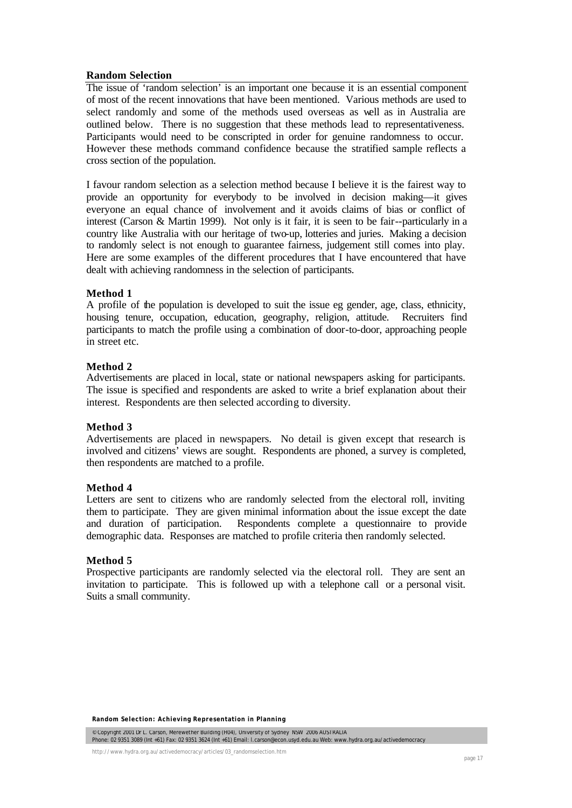# **Random Selection**

The issue of 'random selection' is an important one because it is an essential component of most of the recent innovations that have been mentioned. Various methods are used to select randomly and some of the methods used overseas as well as in Australia are outlined below. There is no suggestion that these methods lead to representativeness. Participants would need to be conscripted in order for genuine randomness to occur. However these methods command confidence because the stratified sample reflects a cross section of the population.

I favour random selection as a selection method because I believe it is the fairest way to provide an opportunity for everybody to be involved in decision making—it gives everyone an equal chance of involvement and it avoids claims of bias or conflict of interest (Carson & Martin 1999). Not only is it fair, it is seen to be fair--particularly in a country like Australia with our heritage of two-up, lotteries and juries. Making a decision to randomly select is not enough to guarantee fairness, judgement still comes into play. Here are some examples of the different procedures that I have encountered that have dealt with achieving randomness in the selection of participants.

# **Method 1**

A profile of the population is developed to suit the issue eg gender, age, class, ethnicity, housing tenure, occupation, education, geography, religion, attitude. Recruiters find participants to match the profile using a combination of door-to-door, approaching people in street etc.

# **Method 2**

Advertisements are placed in local, state or national newspapers asking for participants. The issue is specified and respondents are asked to write a brief explanation about their interest. Respondents are then selected according to diversity.

## **Method 3**

Advertisements are placed in newspapers. No detail is given except that research is involved and citizens' views are sought. Respondents are phoned, a survey is completed, then respondents are matched to a profile.

## **Method 4**

Letters are sent to citizens who are randomly selected from the electoral roll, inviting them to participate. They are given minimal information about the issue except the date and duration of participation. Respondents complete a questionnaire to provide demographic data. Responses are matched to profile criteria then randomly selected.

## **Method 5**

Prospective participants are randomly selected via the electoral roll. They are sent an invitation to participate. This is followed up with a telephone call or a personal visit. Suits a small community.

**Random Selection: Achieving Representation in Planning**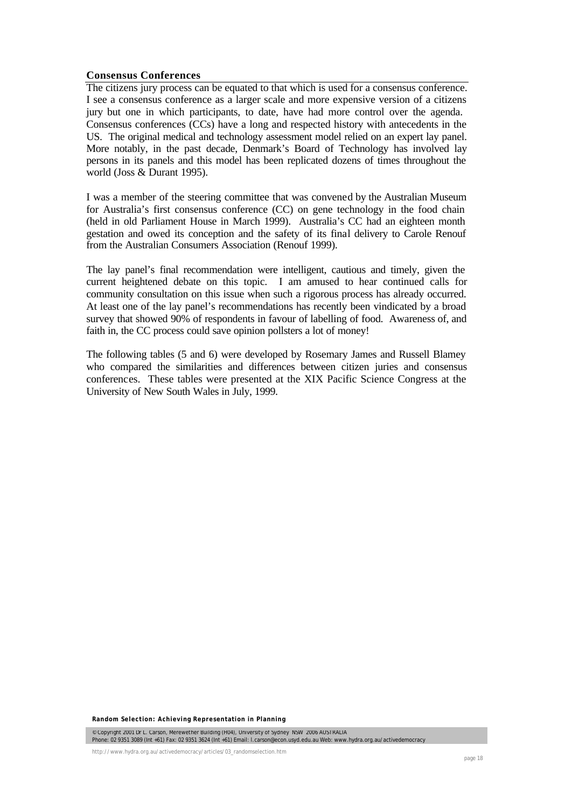## **Consensus Conferences**

The citizens jury process can be equated to that which is used for a consensus conference. I see a consensus conference as a larger scale and more expensive version of a citizens jury but one in which participants, to date, have had more control over the agenda. Consensus conferences (CCs) have a long and respected history with antecedents in the US. The original medical and technology assessment model relied on an expert lay panel. More notably, in the past decade, Denmark's Board of Technology has involved lay persons in its panels and this model has been replicated dozens of times throughout the world (Joss & Durant 1995).

I was a member of the steering committee that was convened by the Australian Museum for Australia's first consensus conference (CC) on gene technology in the food chain (held in old Parliament House in March 1999). Australia's CC had an eighteen month gestation and owed its conception and the safety of its final delivery to Carole Renouf from the Australian Consumers Association (Renouf 1999).

The lay panel's final recommendation were intelligent, cautious and timely, given the current heightened debate on this topic. I am amused to hear continued calls for community consultation on this issue when such a rigorous process has already occurred. At least one of the lay panel's recommendations has recently been vindicated by a broad survey that showed 90% of respondents in favour of labelling of food. Awareness of, and faith in, the CC process could save opinion pollsters a lot of money!

The following tables (5 and 6) were developed by Rosemary James and Russell Blamey who compared the similarities and differences between citizen juries and consensus conferences. These tables were presented at the XIX Pacific Science Congress at the University of New South Wales in July, 1999.

**Random Selection: Achieving Representation in Planning**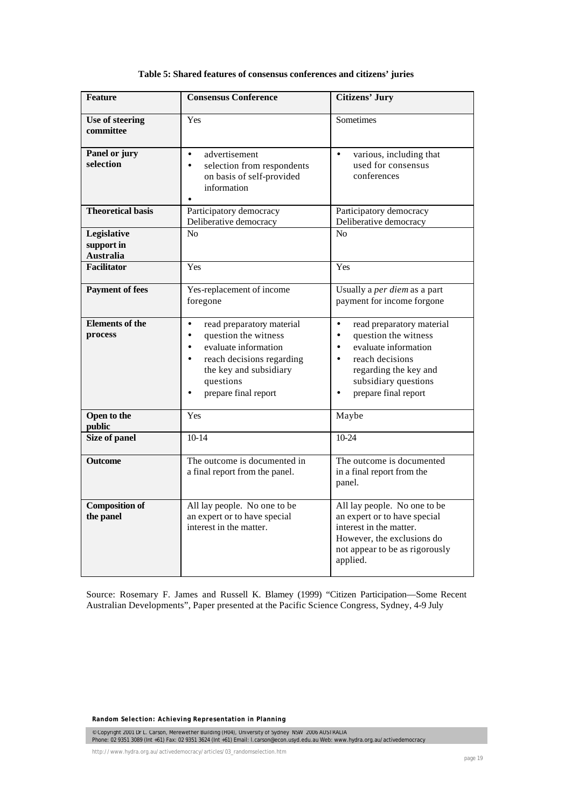| <b>Feature</b>                                | <b>Consensus Conference</b>                                                                                                                                                                                               | <b>Citizens' Jury</b>                                                                                                                                                                                                     |  |  |
|-----------------------------------------------|---------------------------------------------------------------------------------------------------------------------------------------------------------------------------------------------------------------------------|---------------------------------------------------------------------------------------------------------------------------------------------------------------------------------------------------------------------------|--|--|
| Use of steering<br>committee                  | Yes                                                                                                                                                                                                                       | Sometimes                                                                                                                                                                                                                 |  |  |
| Panel or jury<br>selection                    | advertisement<br>$\bullet$<br>selection from respondents<br>$\bullet$<br>on basis of self-provided<br>information<br>$\bullet$                                                                                            | various, including that<br>$\bullet$<br>used for consensus<br>conferences                                                                                                                                                 |  |  |
| <b>Theoretical basis</b>                      | Participatory democracy<br>Deliberative democracy                                                                                                                                                                         | Participatory democracy<br>Deliberative democracy                                                                                                                                                                         |  |  |
| Legislative<br>support in<br><b>Australia</b> | No                                                                                                                                                                                                                        | No                                                                                                                                                                                                                        |  |  |
| <b>Facilitator</b>                            | Yes                                                                                                                                                                                                                       | Yes                                                                                                                                                                                                                       |  |  |
| <b>Payment of fees</b>                        | Yes-replacement of income<br>foregone                                                                                                                                                                                     | Usually a per diem as a part<br>payment for income forgone                                                                                                                                                                |  |  |
| <b>Elements of the</b><br>process             | read preparatory material<br>$\bullet$<br>question the witness<br>$\bullet$<br>evaluate information<br>$\bullet$<br>reach decisions regarding<br>$\bullet$<br>the key and subsidiary<br>questions<br>prepare final report | read preparatory material<br>$\bullet$<br>question the witness<br>$\bullet$<br>evaluate information<br>$\bullet$<br>reach decisions<br>$\bullet$<br>regarding the key and<br>subsidiary questions<br>prepare final report |  |  |
| Open to the<br>public                         | Yes                                                                                                                                                                                                                       | Maybe                                                                                                                                                                                                                     |  |  |
| Size of panel                                 | $10-14$                                                                                                                                                                                                                   | 10-24                                                                                                                                                                                                                     |  |  |
| <b>Outcome</b>                                | The outcome is documented in<br>The outcome is documented<br>a final report from the panel.<br>in a final report from the<br>panel.                                                                                       |                                                                                                                                                                                                                           |  |  |
| <b>Composition of</b><br>the panel            | All lay people. No one to be<br>an expert or to have special<br>interest in the matter.                                                                                                                                   | All lay people. No one to be<br>an expert or to have special<br>interest in the matter.<br>However, the exclusions do<br>not appear to be as rigorously<br>applied.                                                       |  |  |

**Table 5: Shared features of consensus conferences and citizens' juries**

Source: Rosemary F. James and Russell K. Blamey (1999) "Citizen Participation—Some Recent Australian Developments", Paper presented at the Pacific Science Congress, Sydney, 4-9 July

**Random Selection: Achieving Representation in Planning**

© Copyright 2001 Dr L. Carson, Merewether Building (H04), University of Sydney NSW 2006 AUSTRALIA<br>Phone: 02 9351 3089 (Int +61) Fax: 02 9351 3624 (Int +61) Email: I.carson@econ.usyd.edu.au Web: www.hydra.org.au/activedem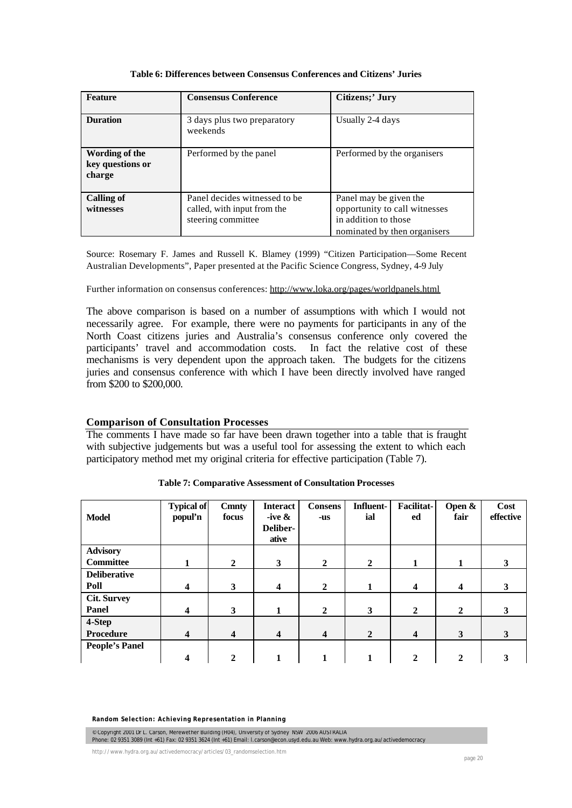**Table 6: Differences between Consensus Conferences and Citizens' Juries**

| <b>Feature</b>                               | <b>Consensus Conference</b>                                                        | Citizens;' Jury                                                                                                 |  |  |  |
|----------------------------------------------|------------------------------------------------------------------------------------|-----------------------------------------------------------------------------------------------------------------|--|--|--|
| <b>Duration</b>                              | 3 days plus two preparatory<br>weekends                                            | Usually 2-4 days                                                                                                |  |  |  |
| Wording of the<br>key questions or<br>charge | Performed by the panel                                                             | Performed by the organisers                                                                                     |  |  |  |
| <b>Calling of</b><br>witnesses               | Panel decides witnessed to be<br>called, with input from the<br>steering committee | Panel may be given the<br>opportunity to call witnesses<br>in addition to those<br>nominated by then organisers |  |  |  |

Source: Rosemary F. James and Russell K. Blamey (1999) "Citizen Participation—Some Recent Australian Developments", Paper presented at the Pacific Science Congress, Sydney, 4-9 July

Further information on consensus conferences: http://www.loka.org/pages/worldpanels.html

The above comparison is based on a number of assumptions with which I would not necessarily agree. For example, there were no payments for participants in any of the North Coast citizens juries and Australia's consensus conference only covered the participants' travel and accommodation costs. In fact the relative cost of these mechanisms is very dependent upon the approach taken. The budgets for the citizens juries and consensus conference with which I have been directly involved have ranged from \$200 to \$200,000.

# **Comparison of Consultation Processes**

The comments I have made so far have been drawn together into a table that is fraught with subjective judgements but was a useful tool for assessing the extent to which each participatory method met my original criteria for effective participation (Table 7).

| <b>Model</b>          | <b>Typical of</b><br>popul'n | Cmnty<br>focus          | <b>Interact</b><br>$-ive \&$<br>Deliber-<br>ative | <b>Consens</b><br>-us   | Influent-<br>ial | Facilitat-<br>ed        | Open &<br>fair          | Cost<br>effective |
|-----------------------|------------------------------|-------------------------|---------------------------------------------------|-------------------------|------------------|-------------------------|-------------------------|-------------------|
| <b>Advisory</b>       |                              |                         |                                                   |                         |                  |                         |                         |                   |
| <b>Committee</b>      |                              | $\mathbf{2}$            | $\mathbf{3}$                                      | $\overline{2}$          | $\overline{2}$   |                         |                         | 3                 |
| <b>Deliberative</b>   |                              |                         |                                                   |                         |                  |                         |                         |                   |
| Poll                  | $\overline{\mathbf{4}}$      | 3                       | $\overline{\mathbf{4}}$                           | $\overline{2}$          | 1                | $\overline{\mathbf{4}}$ | $\overline{\mathbf{4}}$ | $\mathbf{3}$      |
| <b>Cit. Survey</b>    |                              |                         |                                                   |                         |                  |                         |                         |                   |
| Panel                 | $\overline{\mathbf{4}}$      | 3                       |                                                   | $\overline{2}$          | $\mathbf{3}$     | $\overline{2}$          | $\overline{2}$          | $\mathbf{3}$      |
| 4-Step                |                              |                         |                                                   |                         |                  |                         |                         |                   |
| <b>Procedure</b>      | $\overline{\mathbf{4}}$      | $\overline{\mathbf{4}}$ | $\overline{\mathbf{4}}$                           | $\overline{\mathbf{4}}$ | $\overline{2}$   | $\overline{\mathbf{4}}$ | 3                       | $\mathbf{3}$      |
| <b>People's Panel</b> |                              |                         |                                                   |                         |                  |                         |                         |                   |
|                       | 4                            | $\overline{2}$          |                                                   |                         |                  | $\mathbf{2}$            | $\overline{2}$          | 3                 |

**Table 7: Comparative Assessment of Consultation Processes**

**Random Selection: Achieving Representation in Planning**

© Copyright 2001 Dr L. Carson, Merewether Building (H04), University of Sydney NSW 2006 AUSTRALIA

Phone: 02 9351 3089 (Int +61) Fax: 02 9351 3624 (Int +61) Email: l.carson@econ.usyd.edu.au Web: www.hydra.org.au/activedemocracy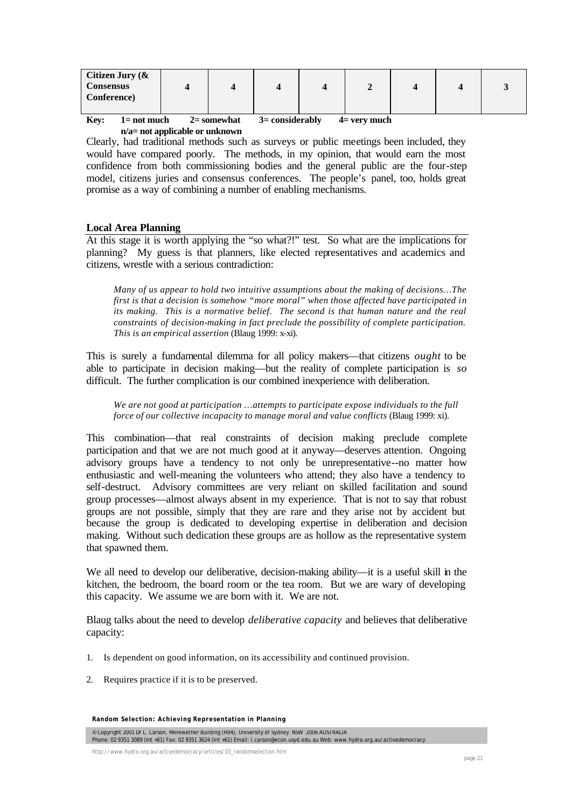| Citizen Jury $(\&$<br><b>Consensus</b><br>Conference) |                |                   |                |  |  |
|-------------------------------------------------------|----------------|-------------------|----------------|--|--|
| Kev:<br>1= not much                                   | $2 =$ somewhat | $3=$ considerably | $4=$ very much |  |  |

**n/a= not applicable or unknown**

Clearly, had traditional methods such as surveys or public meetings been included, they would have compared poorly. The methods, in my opinion, that would earn the most confidence from both commissioning bodies and the general public are the four-step model, citizens juries and consensus conferences. The people's panel, too, holds great promise as a way of combining a number of enabling mechanisms.

# **Local Area Planning**

At this stage it is worth applying the "so what?!" test. So what are the implications for planning? My guess is that planners, like elected representatives and academics and citizens, wrestle with a serious contradiction:

*Many of us appear to hold two intuitive assumptions about the making of decisions…The first is that a decision is somehow "more moral" when those affected have participated in its making. This is a normative belief. The second is that human nature and the real constraints of decision-making in fact preclude the possibility of complete participation. This is an empirical assertion* (Blaug 1999: x-xi).

This is surely a fundamental dilemma for all policy makers—that citizens *ought* to be able to participate in decision making—but the reality of complete participation is *so* difficult. The further complication is our combined inexperience with deliberation.

*We are not good at participation …attempts to participate expose individuals to the full force of our collective incapacity to manage moral and value conflicts (Blaug 1999: xi).* 

This combination—that real constraints of decision making preclude complete participation and that we are not much good at it anyway—deserves attention. Ongoing advisory groups have a tendency to not only be unrepresentative--no matter how enthusiastic and well-meaning the volunteers who attend; they also have a tendency to self-destruct. Advisory committees are very reliant on skilled facilitation and sound group processes—almost always absent in my experience. That is not to say that robust groups are not possible, simply that they are rare and they arise not by accident but because the group is dedicated to developing expertise in deliberation and decision making. Without such dedication these groups are as hollow as the representative system that spawned them.

We all need to develop our deliberative, decision-making ability—it is a useful skill in the kitchen, the bedroom, the board room or the tea room. But we are wary of developing this capacity. We assume we are born with it. We are not.

Blaug talks about the need to develop *deliberative capacity* and believes that deliberative capacity:

- 1. Is dependent on good information, on its accessibility and continued provision.
- 2. Requires practice if it is to be preserved.

**Random Selection: Achieving Representation in Planning**

© Copyright 2001 Dr L. Carson, Merewether Building (H04), University of Sydney NSW 2006 AUSTRALIA Phone: 02 9351 3089 (Int +61) Fax: 02 9351 3624 (Int +61) Email: l.carson@econ.usyd.edu.au Web: www.hydra.org.au/activedemocracy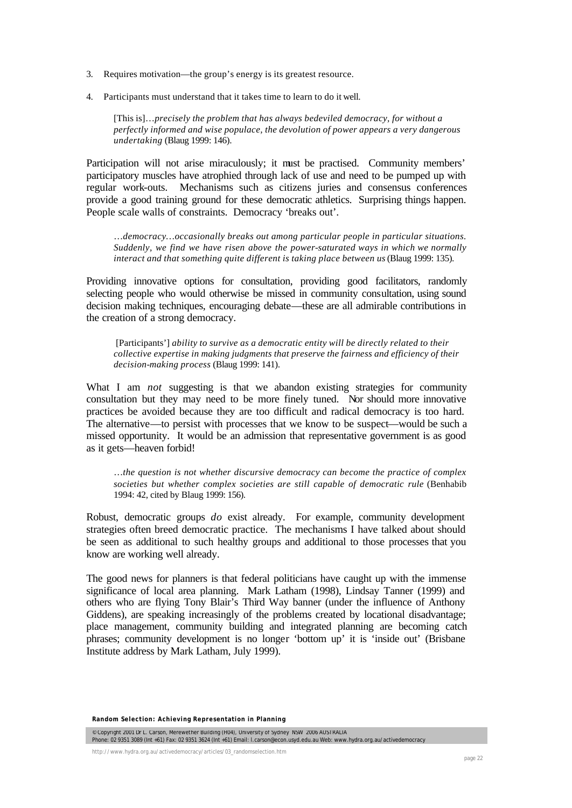- 3. Requires motivation—the group's energy is its greatest resource.
- 4. Participants must understand that it takes time to learn to do it well.

[This is]…*precisely the problem that has always bedeviled democracy, for without a perfectly informed and wise populace, the devolution of power appears a very dangerous undertaking* (Blaug 1999: 146).

Participation will not arise miraculously; it must be practised. Community members' participatory muscles have atrophied through lack of use and need to be pumped up with regular work-outs. Mechanisms such as citizens juries and consensus conferences provide a good training ground for these democratic athletics. Surprising things happen. People scale walls of constraints. Democracy 'breaks out'.

…*democracy…occasionally breaks out among particular people in particular situations. Suddenly, we find we have risen above the power-saturated ways in which we normally interact and that something quite different is taking place between us* (Blaug 1999: 135).

Providing innovative options for consultation, providing good facilitators, randomly selecting people who would otherwise be missed in community consultation, using sound decision making techniques, encouraging debate—these are all admirable contributions in the creation of a strong democracy.

 [Participants'] *ability to survive as a democratic entity will be directly related to their collective expertise in making judgments that preserve the fairness and efficiency of their decision-making process* (Blaug 1999: 141).

What I am *not* suggesting is that we abandon existing strategies for community consultation but they may need to be more finely tuned. Nor should more innovative practices be avoided because they are too difficult and radical democracy is too hard. The alternative—to persist with processes that we know to be suspect—would be such a missed opportunity. It would be an admission that representative government is as good as it gets—heaven forbid!

…*the question is not whether discursive democracy can become the practice of complex societies but whether complex societies are still capable of democratic rule* (Benhabib 1994: 42, cited by Blaug 1999: 156).

Robust, democratic groups *do* exist already. For example, community development strategies often breed democratic practice. The mechanisms I have talked about should be seen as additional to such healthy groups and additional to those processes that you know are working well already.

The good news for planners is that federal politicians have caught up with the immense significance of local area planning. Mark Latham (1998), Lindsay Tanner (1999) and others who are flying Tony Blair's Third Way banner (under the influence of Anthony Giddens), are speaking increasingly of the problems created by locational disadvantage; place management, community building and integrated planning are becoming catch phrases; community development is no longer 'bottom up' it is 'inside out' (Brisbane Institute address by Mark Latham, July 1999).

**Random Selection: Achieving Representation in Planning**

© Copyright 2001 Dr L. Carson, Merewether Building (H04), University of Sydney NSW 2006 AUSTRALIA Phone: 02 9351 3089 (Int +61) Fax: 02 9351 3624 (Int +61) Email: l.carson@econ.usyd.edu.au Web: www.hydra.org.au/activedemocracy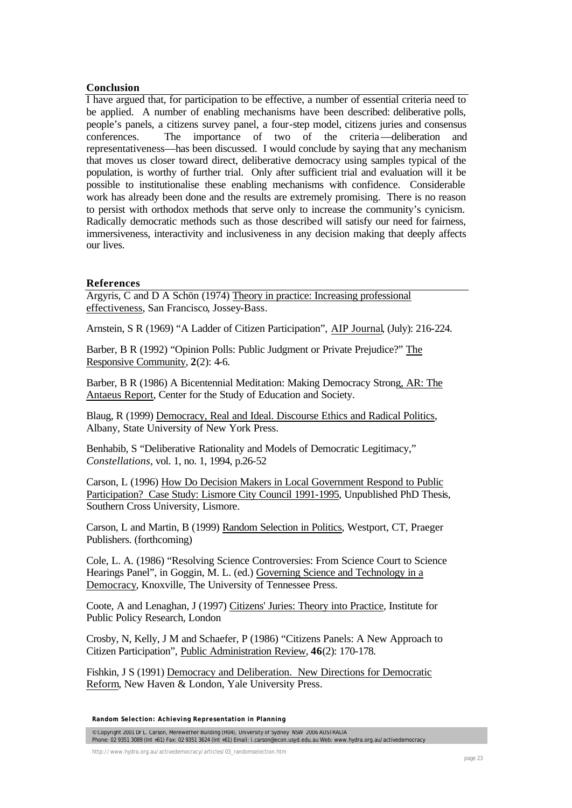# **Conclusion**

I have argued that, for participation to be effective, a number of essential criteria need to be applied. A number of enabling mechanisms have been described: deliberative polls, people's panels, a citizens survey panel, a four-step model, citizens juries and consensus conferences. The importance of two of the criteria—deliberation and representativeness—has been discussed. I would conclude by saying that any mechanism that moves us closer toward direct, deliberative democracy using samples typical of the population, is worthy of further trial. Only after sufficient trial and evaluation will it be possible to institutionalise these enabling mechanisms with confidence. Considerable work has already been done and the results are extremely promising. There is no reason to persist with orthodox methods that serve only to increase the community's cynicism. Radically democratic methods such as those described will satisfy our need for fairness, immersiveness, interactivity and inclusiveness in any decision making that deeply affects our lives.

# **References**

Argyris, C and D A Schön (1974) Theory in practice: Increasing professional effectiveness, San Francisco, Jossey-Bass.

Arnstein, S R (1969) "A Ladder of Citizen Participation", AIP Journal, (July): 216-224.

Barber, B R (1992) "Opinion Polls: Public Judgment or Private Prejudice?" The Responsive Community, **2**(2): 4-6.

Barber, B R (1986) A Bicentennial Meditation: Making Democracy Strong, AR: The Antaeus Report, Center for the Study of Education and Society.

Blaug, R (1999) Democracy, Real and Ideal. Discourse Ethics and Radical Politics, Albany, State University of New York Press.

Benhabib, S "Deliberative Rationality and Models of Democratic Legitimacy," *Constellations*, vol. 1, no. 1, 1994, p.26-52

Carson, L (1996) How Do Decision Makers in Local Government Respond to Public Participation? Case Study: Lismore City Council 1991-1995, Unpublished PhD Thesis, Southern Cross University, Lismore.

Carson, L and Martin, B (1999) Random Selection in Politics, Westport, CT, Praeger Publishers. (forthcoming)

Cole, L. A. (1986) "Resolving Science Controversies: From Science Court to Science Hearings Panel", in Goggin, M. L. (ed.) Governing Science and Technology in a Democracy, Knoxville, The University of Tennessee Press.

Coote, A and Lenaghan, J (1997) Citizens' Juries: Theory into Practice, Institute for Public Policy Research, London

Crosby, N, Kelly, J M and Schaefer, P (1986) "Citizens Panels: A New Approach to Citizen Participation", Public Administration Review, **46**(2): 170-178.

Fishkin, J S (1991) Democracy and Deliberation. New Directions for Democratic Reform, New Haven & London, Yale University Press.

**Random Selection: Achieving Representation in Planning**

© Copyright 2001 Dr L. Carson, Merewether Building (H04), University of Sydney NSW 2006 AUSTRALIA Phone: 02 9351 3089 (Int +61) Fax: 02 9351 3624 (Int +61) Email: l.carson@econ.usyd.edu.au Web: www.hydra.org.au/activedemocracy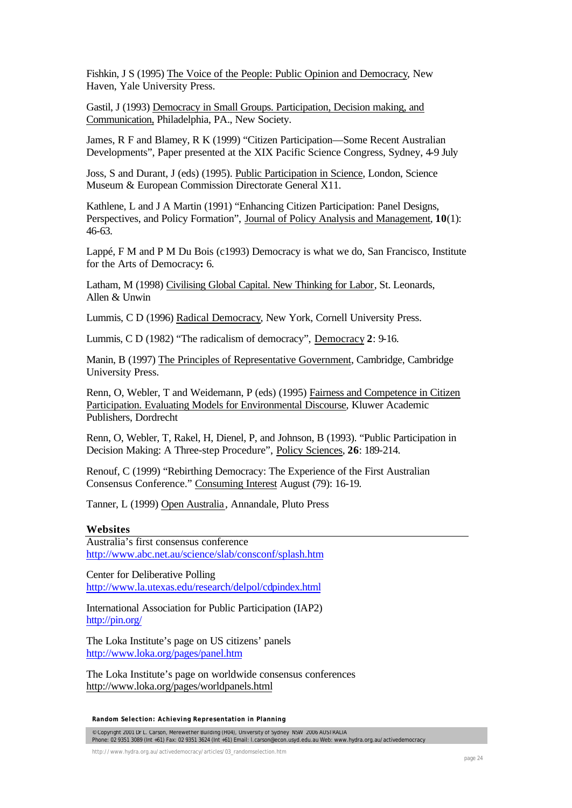Fishkin, J S (1995) The Voice of the People: Public Opinion and Democracy, New Haven, Yale University Press.

Gastil, J (1993) Democracy in Small Groups. Participation, Decision making, and Communication, Philadelphia, PA., New Society.

James, R F and Blamey, R K (1999) "Citizen Participation—Some Recent Australian Developments", Paper presented at the XIX Pacific Science Congress, Sydney, 4-9 July

Joss, S and Durant, J (eds) (1995). Public Participation in Science, London, Science Museum & European Commission Directorate General X11.

Kathlene, L and J A Martin (1991) "Enhancing Citizen Participation: Panel Designs, Perspectives, and Policy Formation", Journal of Policy Analysis and Management, **10**(1): 46-63.

Lappé, F M and P M Du Bois (c1993) Democracy is what we do, San Francisco, Institute for the Arts of Democracy**:** 6.

Latham, M (1998) Civilising Global Capital. New Thinking for Labor, St. Leonards, Allen & Unwin

Lummis, C D (1996) Radical Democracy, New York, Cornell University Press.

Lummis, C D (1982) "The radicalism of democracy", Democracy **2**: 9-16.

Manin, B (1997) The Principles of Representative Government, Cambridge, Cambridge University Press.

Renn, O, Webler, T and Weidemann, P (eds) (1995) Fairness and Competence in Citizen Participation. Evaluating Models for Environmental Discourse, Kluwer Academic Publishers, Dordrecht

Renn, O, Webler, T, Rakel, H, Dienel, P, and Johnson, B (1993). "Public Participation in Decision Making: A Three-step Procedure", Policy Sciences, **26**: 189-214.

Renouf, C (1999) "Rebirthing Democracy: The Experience of the First Australian Consensus Conference." Consuming Interest August (79): 16-19.

Tanner, L (1999) Open Australia, Annandale, Pluto Press

#### **Websites**

Australia's first consensus conference http://www.abc.net.au/science/slab/consconf/splash.htm

Center for Deliberative Polling http://www.la.utexas.edu/research/delpol/cdpindex.html

International Association for Public Participation (IAP2) http://pin.org/

The Loka Institute's page on US citizens' panels http://www.loka.org/pages/panel.htm

The Loka Institute's page on worldwide consensus conferences http://www.loka.org/pages/worldpanels.html

**Random Selection: Achieving Representation in Planning**

© Copyright 2001 Dr L. Carson, Merewether Building (H04), University of Sydney NSW 2006 AUSTRALIA Phone: 02 9351 3089 (Int +61) Fax: 02 9351 3624 (Int +61) Email: l.carson@econ.usyd.edu.au Web: www.hydra.org.au/activedemocracy